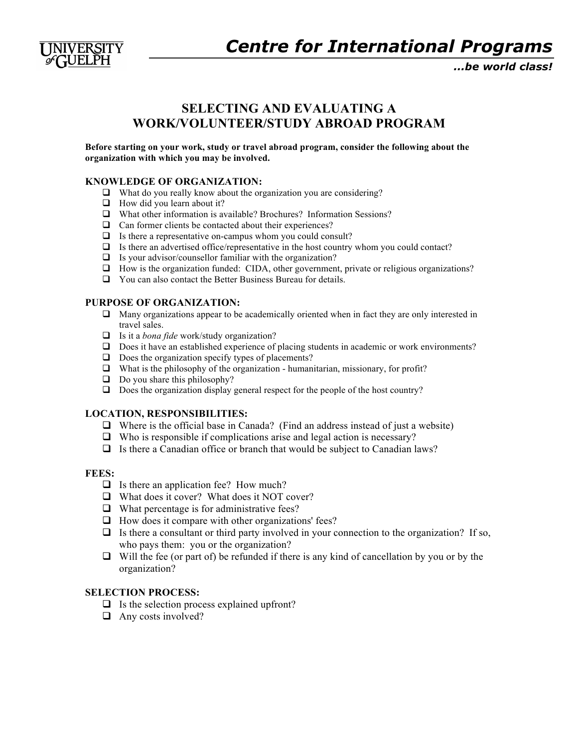

*...be world class!*

# **SELECTING AND EVALUATING A WORK/VOLUNTEER/STUDY ABROAD PROGRAM**

**Before starting on your work, study or travel abroad program, consider the following about the organization with which you may be involved.**

#### **KNOWLEDGE OF ORGANIZATION:**

- $\Box$  What do you really know about the organization you are considering?
- $\Box$  How did you learn about it?
- What other information is available? Brochures? Information Sessions?
- $\Box$  Can former clients be contacted about their experiences?
- $\Box$  Is there a representative on-campus whom you could consult?
- $\Box$  Is there an advertised office/representative in the host country whom you could contact?
- $\Box$  Is your advisor/counsellor familiar with the organization?
- How is the organization funded: CIDA, other government, private or religious organizations?
- You can also contact the Better Business Bureau for details.

#### **PURPOSE OF ORGANIZATION:**

- $\Box$  Many organizations appear to be academically oriented when in fact they are only interested in travel sales.
- Is it a *bona fide* work/study organization?
- □ Does it have an established experience of placing students in academic or work environments?
- $\Box$  Does the organization specify types of placements?
- $\Box$  What is the philosophy of the organization humanitarian, missionary, for profit?
- $\Box$  Do you share this philosophy?
- $\Box$  Does the organization display general respect for the people of the host country?

#### **LOCATION, RESPONSIBILITIES:**

- $\Box$  Where is the official base in Canada? (Find an address instead of just a website)
- $\Box$  Who is responsible if complications arise and legal action is necessary?
- $\Box$  Is there a Canadian office or branch that would be subject to Canadian laws?

#### **FEES:**

- $\Box$  Is there an application fee? How much?
- □ What does it cover? What does it NOT cover?
- $\Box$  What percentage is for administrative fees?
- $\Box$  How does it compare with other organizations' fees?
- $\Box$  Is there a consultant or third party involved in your connection to the organization? If so, who pays them: you or the organization?
- $\Box$  Will the fee (or part of) be refunded if there is any kind of cancellation by you or by the organization?

## **SELECTION PROCESS:**

- $\Box$  Is the selection process explained upfront?
- $\Box$  Any costs involved?